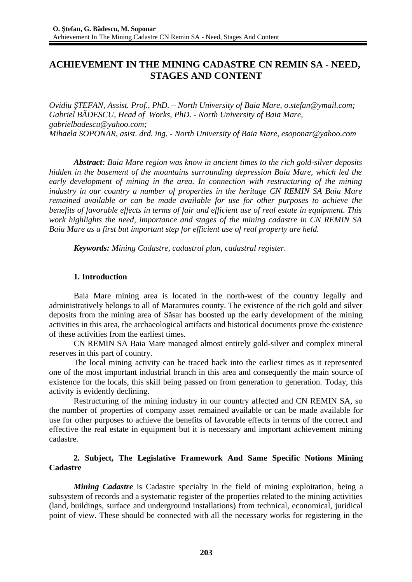# **ACHIEVEMENT IN THE MINING CADASTRE CN REMIN SA - NEED, STAGES AND CONTENT**

*Ovidiu ŞTEFAN, Assist. Prof., PhD. – North University of Baia Mare, o.stefan@ymail.com; Gabriel BĂDESCU, Head of Works, PhD. - North University of Baia Mare, gabrielbadescu@yahoo.com; Mihaela SOPONAR, asist. drd. ing. - North University of Baia Mare, esoponar@yahoo.com*

*Abstract: Baia Mare region was know in ancient times to the rich gold-silver deposits hidden in the basement of the mountains surrounding depression Baia Mare, which led the early development of mining in the area. In connection with restructuring of the mining industry in our country a number of properties in the heritage CN REMIN SA Baia Mare remained available or can be made available for use for other purposes to achieve the benefits of favorable effects in terms of fair and efficient use of real estate in equipment. This work highlights the need, importance and stages of the mining cadastre in CN REMIN SA Baia Mare as a first but important step for efficient use of real property are held.*

*Keywords: Mining Cadastre, cadastral plan, cadastral register.*

# **1. Introduction**

Baia Mare mining area is located in the north-west of the country legally and administratively belongs to all of Maramures county. The existence of the rich gold and silver deposits from the mining area of Săsar has boosted up the early development of the mining activities in this area, the archaeological artifacts and historical documents prove the existence of these activities from the earliest times.

CN REMIN SA Baia Mare managed almost entirely gold-silver and complex mineral reserves in this part of country.

The local mining activity can be traced back into the earliest times as it represented one of the most important industrial branch in this area and consequently the main source of existence for the locals, this skill being passed on from generation to generation. Today, this activity is evidently declining.

Restructuring of the mining industry in our country affected and CN REMIN SA, so the number of properties of company asset remained available or can be made available for use for other purposes to achieve the benefits of favorable effects in terms of the correct and effective the real estate in equipment but it is necessary and important achievement mining cadastre.

### **2. Subject, The Legislative Framework And Same Specific Notions Mining Cadastre**

*Mining Cadastre* is Cadastre specialty in the field of mining exploitation, being a subsystem of records and a systematic register of the properties related to the mining activities (land, buildings, surface and underground installations) from technical, economical, juridical point of view. These should be connected with all the necessary works for registering in the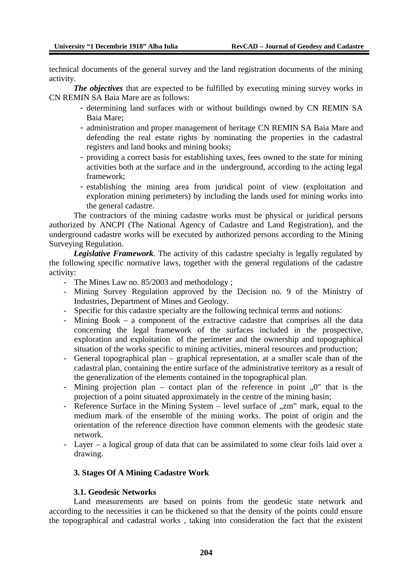technical documents of the general survey and the land registration documents of the mining activity.

*The objectives* that are expected to be fulfilled by executing mining survey works in CN REMIN SA Baia Mare are as follows:

- determining land surfaces with or without buildings owned by CN REMIN SA Baia Mare;
- administration and proper management of heritage CN REMIN SA Baia Mare and defending the real estate rights by nominating the properties in the cadastral registers and land books and mining books;
- providing a correct basis for establishing taxes, fees owned to the state for mining activities both at the surface and in the underground, according to the acting legal framework;
- establishing the mining area from juridical point of view (exploitation and exploration mining perimeters) by including the lands used for mining works into the general cadastre.

The contractors of the mining cadastre works must be physical or juridical persons authorized by ANCPI (The National Agency of Cadastre and Land Registration), and the underground cadastre works will be executed by authorized persons according to the Mining Surveying Regulation.

*Legislative Framework.* The activity of this cadastre specialty is legally regulated by the following specific normative laws, together with the general regulations of the cadastre activity:

- The Mines Law no. 85/2003 and methodology ;
- Mining Survey Regulation approved by the Decision no. 9 of the Ministry of Industries, Department of Mines and Geology.
- Specific for this cadastre specialty are the following technical terms and notions:
- Mining Book a component of the extractive cadastre that comprises all the data concerning the legal framework of the surfaces included in the prospective, exploration and exploitation of the perimeter and the ownership and topographical situation of the works specific to mining activities, mineral resources and production;
- General topographical plan graphical representation, at a smaller scale than of the cadastral plan, containing the entire surface of the administrative territory as a result of the generalization of the elements contained in the topographical plan.
- Mining projection plan contact plan of the reference in point  $,0$ " that is the projection of a point situated approximately in the centre of the mining basin;
- Reference Surface in the Mining System  $-$  level surface of  $\alpha$ zm" mark, equal to the medium mark of the ensemble of the mining works. The point of origin and the orientation of the reference direction have common elements with the geodesic state network.
- Layer a logical group of data that can be assimilated to some clear foils laid over a drawing.

# **3. Stages Of A Mining Cadastre Work**

#### **3.1. Geodesic Networks**

Land measurements are based on points from the geodesic state network and according to the necessities it can be thickened so that the density of the points could ensure the topographical and cadastral works , taking into consideration the fact that the existent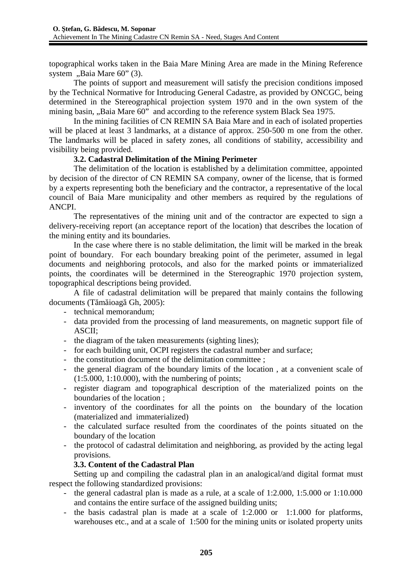topographical works taken in the Baia Mare Mining Area are made in the Mining Reference system ...Baia Mare  $60$ "  $(3)$ .

The points of support and measurement will satisfy the precision conditions imposed by the Technical Normative for Introducing General Cadastre, as provided by ONCGC, being determined in the Stereographical projection system 1970 and in the own system of the mining basin, "Baia Mare 60" and according to the reference system Black Sea 1975.

In the mining facilities of CN REMIN SA Baia Mare and in each of isolated properties will be placed at least 3 landmarks, at a distance of approx. 250-500 m one from the other. The landmarks will be placed in safety zones, all conditions of stability, accessibility and visibility being provided.

### **3.2. Cadastral Delimitation of the Mining Perimeter**

The delimitation of the location is established by a delimitation committee, appointed by decision of the director of CN REMIN SA company, owner of the license, that is formed by a experts representing both the beneficiary and the contractor, a representative of the local council of Baia Mare municipality and other members as required by the regulations of ANCPI.

The representatives of the mining unit and of the contractor are expected to sign a delivery-receiving report (an acceptance report of the location) that describes the location of the mining entity and its boundaries.

In the case where there is no stable delimitation, the limit will be marked in the break point of boundary. For each boundary breaking point of the perimeter, assumed in legal documents and neighboring protocols, and also for the marked points or immaterialized points, the coordinates will be determined in the Stereographic 1970 projection system, topographical descriptions being provided.

A file of cadastral delimitation will be prepared that mainly contains the following documents (Tămăioagă Gh, 2005):

- technical memorandum;
- data provided from the processing of land measurements, on magnetic support file of ASCII;
- the diagram of the taken measurements (sighting lines);
- for each building unit, OCPI registers the cadastral number and surface;
- the constitution document of the delimitation committee ;
- the general diagram of the boundary limits of the location , at a convenient scale of (1:5.000, 1:10.000), with the numbering of points;
- register diagram and topographical description of the materialized points on the boundaries of the location ;
- inventory of the coordinates for all the points on the boundary of the location (materialized and immaterialized)
- the calculated surface resulted from the coordinates of the points situated on the boundary of the location
- the protocol of cadastral delimitation and neighboring, as provided by the acting legal provisions.

# **3.3. Content of the Cadastral Plan**

Setting up and compiling the cadastral plan in an analogical/and digital format must respect the following standardized provisions:

- the general cadastral plan is made as a rule, at a scale of 1:2.000, 1:5.000 or 1:10.000 and contains the entire surface of the assigned building units;
- the basis cadastral plan is made at a scale of 1:2.000 or 1:1.000 for platforms, warehouses etc., and at a scale of 1:500 for the mining units or isolated property units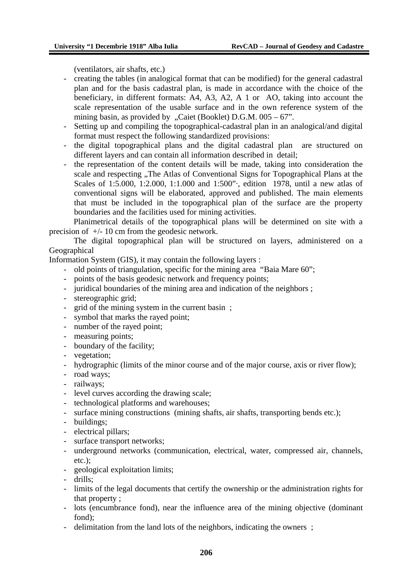(ventilators, air shafts, etc.)

- creating the tables (in analogical format that can be modified) for the general cadastral plan and for the basis cadastral plan, is made in accordance with the choice of the beneficiary, in different formats: A4, A3, A2, A 1 or AO, taking into account the scale representation of the usable surface and in the own reference system of the mining basin, as provided by "Caiet (Booklet) D.G.M.  $005 - 67$ ".
- Setting up and compiling the topographical-cadastral plan in an analogical/and digital format must respect the following standardized provisions:
- the digital topographical plans and the digital cadastral plan are structured on different layers and can contain all information described in detail;
- the representation of the content details will be made, taking into consideration the scale and respecting "The Atlas of Conventional Signs for Topographical Plans at the Scales of 1:5.000, 1:2.000, 1:1.000 and 1:500"·, edition 1978, until a new atlas of conventional signs will be elaborated, approved and published. The main elements that must be included in the topographical plan of the surface are the property boundaries and the facilities used for mining activities.

Planimetrical details of the topographical plans will be determined on site with a precision of  $+/- 10$  cm from the geodesic network.

The digital topographical plan will be structured on layers, administered on a Geographical

Information System (GIS), it may contain the following layers :

- old points of triangulation, specific for the mining area "Baia Mare 60";
- points of the basis geodesic network and frequency points;
- juridical boundaries of the mining area and indication of the neighbors ;
- stereographic grid;
- grid of the mining system in the current basin ;
- symbol that marks the rayed point;
- number of the rayed point;
- measuring points;
- boundary of the facility;
- vegetation;
- hydrographic (limits of the minor course and of the major course, axis or river flow);
- road ways;
- railways;
- level curves according the drawing scale;
- technological platforms and warehouses;
- surface mining constructions (mining shafts, air shafts, transporting bends etc.);
- buildings;
- electrical pillars;
- surface transport networks;
- underground networks (communication, electrical, water, compressed air, channels, etc.);
- geological exploitation limits;
- drills;
- limits of the legal documents that certify the ownership or the administration rights for that property ;
- lots (encumbrance fond), near the influence area of the mining objective (dominant fond);
- delimitation from the land lots of the neighbors, indicating the owners ;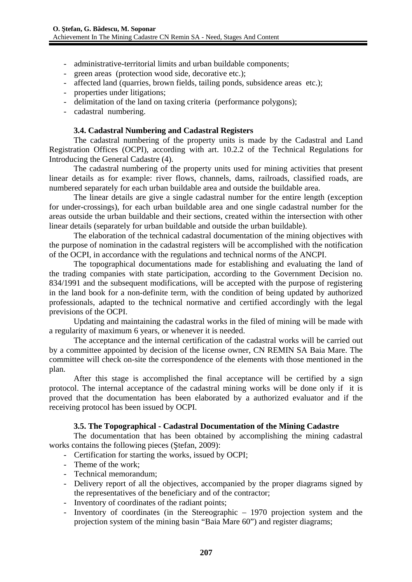- administrative-territorial limits and urban buildable components;
- green areas (protection wood side, decorative etc.);
- affected land (quarries, brown fields, tailing ponds, subsidence areas etc.);
- properties under litigations;
- delimitation of the land on taxing criteria (performance polygons);
- cadastral numbering.

#### **3.4. Cadastral Numbering and Cadastral Registers**

The cadastral numbering of the property units is made by the Cadastral and Land Registration Offices (OCPI), according with art. 10.2.2 of the Technical Regulations for Introducing the General Cadastre (4).

The cadastral numbering of the property units used for mining activities that present linear details as for example: river flows, channels, dams, railroads, classified roads, are numbered separately for each urban buildable area and outside the buildable area.

The linear details are give a single cadastral number for the entire length (exception for under-crossings), for each urban buildable area and one single cadastral number for the areas outside the urban buildable and their sections, created within the intersection with other linear details (separately for urban buildable and outside the urban buildable).

The elaboration of the technical cadastral documentation of the mining objectives with the purpose of nomination in the cadastral registers will be accomplished with the notification of the OCPI, in accordance with the regulations and technical norms of the ANCPI.

The topographical documentations made for establishing and evaluating the land of the trading companies with state participation, according to the Government Decision no. 834/1991 and the subsequent modifications, will be accepted with the purpose of registering in the land book for a non-definite term, with the condition of being updated by authorized professionals, adapted to the technical normative and certified accordingly with the legal previsions of the OCPI.

Updating and maintaining the cadastral works in the filed of mining will be made with a regularity of maximum 6 years, or whenever it is needed.

The acceptance and the internal certification of the cadastral works will be carried out by a committee appointed by decision of the license owner, CN REMIN SA Baia Mare. The committee will check on-site the correspondence of the elements with those mentioned in the plan.

After this stage is accomplished the final acceptance will be certified by a sign protocol. The internal acceptance of the cadastral mining works will be done only if it is proved that the documentation has been elaborated by a authorized evaluator and if the receiving protocol has been issued by OCPI.

#### **3.5. The Topographical - Cadastral Documentation of the Mining Cadastre**

The documentation that has been obtained by accomplishing the mining cadastral works contains the following pieces (Ştefan, 2009):

- Certification for starting the works, issued by OCPI;
- Theme of the work;
- Technical memorandum;
- Delivery report of all the objectives, accompanied by the proper diagrams signed by the representatives of the beneficiary and of the contractor;
- Inventory of coordinates of the radiant points;
- Inventory of coordinates (in the Stereographic 1970 projection system and the projection system of the mining basin "Baia Mare 60") and register diagrams;